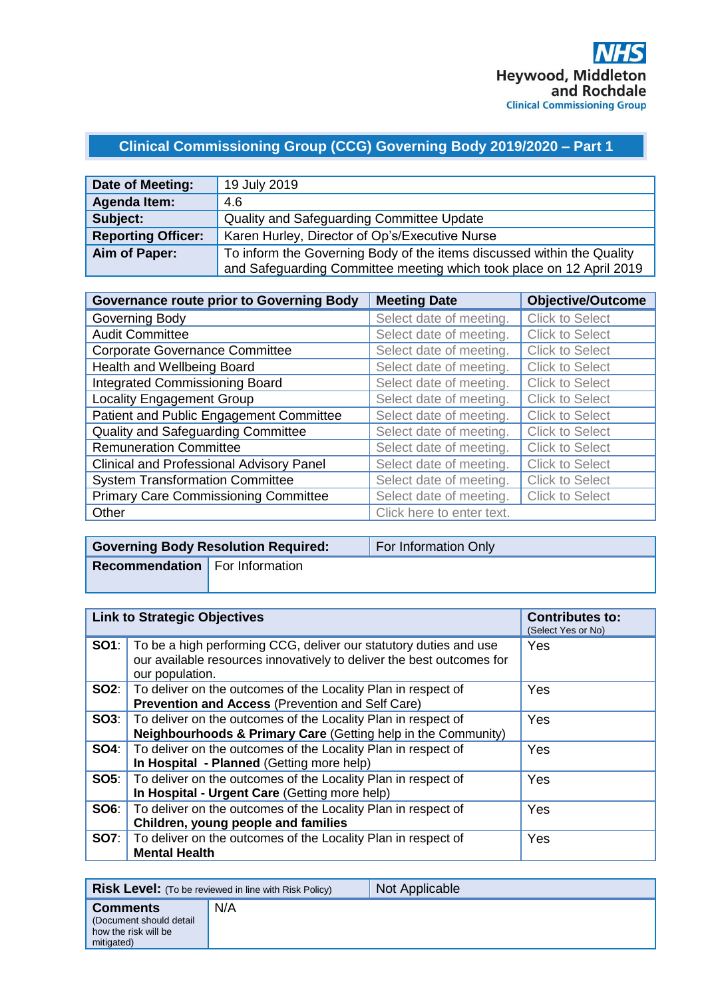## **Clinical Commissioning Group (CCG) Governing Body 2019/2020 – Part 1**

| Date of Meeting:          | 19 July 2019                                                           |
|---------------------------|------------------------------------------------------------------------|
| Agenda Item:              | 4.6                                                                    |
| Subject:                  | Quality and Safeguarding Committee Update                              |
| <b>Reporting Officer:</b> | Karen Hurley, Director of Op's/Executive Nurse                         |
| Aim of Paper:             | To inform the Governing Body of the items discussed within the Quality |
|                           | and Safeguarding Committee meeting which took place on 12 April 2019   |

| <b>Governance route prior to Governing Body</b> | <b>Meeting Date</b>       | <b>Objective/Outcome</b> |
|-------------------------------------------------|---------------------------|--------------------------|
| Governing Body                                  | Select date of meeting.   | <b>Click to Select</b>   |
| <b>Audit Committee</b>                          | Select date of meeting.   | <b>Click to Select</b>   |
| <b>Corporate Governance Committee</b>           | Select date of meeting.   | <b>Click to Select</b>   |
| Health and Wellbeing Board                      | Select date of meeting.   | <b>Click to Select</b>   |
| <b>Integrated Commissioning Board</b>           | Select date of meeting.   | <b>Click to Select</b>   |
| <b>Locality Engagement Group</b>                | Select date of meeting.   | <b>Click to Select</b>   |
| Patient and Public Engagement Committee         | Select date of meeting.   | <b>Click to Select</b>   |
| <b>Quality and Safeguarding Committee</b>       | Select date of meeting.   | <b>Click to Select</b>   |
| <b>Remuneration Committee</b>                   | Select date of meeting.   | Click to Select          |
| <b>Clinical and Professional Advisory Panel</b> | Select date of meeting.   | <b>Click to Select</b>   |
| <b>System Transformation Committee</b>          | Select date of meeting.   | <b>Click to Select</b>   |
| <b>Primary Care Commissioning Committee</b>     | Select date of meeting.   | <b>Click to Select</b>   |
| Other                                           | Click here to enter text. |                          |

|                                       | <b>Governing Body Resolution Required:</b> | For Information Only |
|---------------------------------------|--------------------------------------------|----------------------|
| <b>Recommendation</b> For Information |                                            |                      |
|                                       |                                            |                      |

| <b>Link to Strategic Objectives</b> |                                                                                                                                                                            | <b>Contributes to:</b><br>(Select Yes or No) |
|-------------------------------------|----------------------------------------------------------------------------------------------------------------------------------------------------------------------------|----------------------------------------------|
|                                     | <b>SO1</b> : To be a high performing CCG, deliver our statutory duties and use<br>our available resources innovatively to deliver the best outcomes for<br>our population. | Yes                                          |
|                                     | <b>SO2:</b> To deliver on the outcomes of the Locality Plan in respect of<br><b>Prevention and Access (Prevention and Self Care)</b>                                       | Yes                                          |
|                                     | <b>SO3:</b>   To deliver on the outcomes of the Locality Plan in respect of<br><b>Neighbourhoods &amp; Primary Care (Getting help in the Community)</b>                    | Yes                                          |
| SO4: I                              | To deliver on the outcomes of the Locality Plan in respect of<br>In Hospital - Planned (Getting more help)                                                                 | Yes                                          |
|                                     | <b>SO5:</b> To deliver on the outcomes of the Locality Plan in respect of<br>In Hospital - Urgent Care (Getting more help)                                                 | Yes                                          |
| SO6:                                | To deliver on the outcomes of the Locality Plan in respect of<br>Children, young people and families                                                                       | Yes                                          |
|                                     | <b>SO7:</b> To deliver on the outcomes of the Locality Plan in respect of<br><b>Mental Health</b>                                                                          | Yes                                          |

|                                                                                   | <b>Risk Level:</b> (To be reviewed in line with Risk Policy) | Not Applicable |
|-----------------------------------------------------------------------------------|--------------------------------------------------------------|----------------|
| <b>Comments</b><br>(Document should detail)<br>how the risk will be<br>mitigated) | N/A                                                          |                |